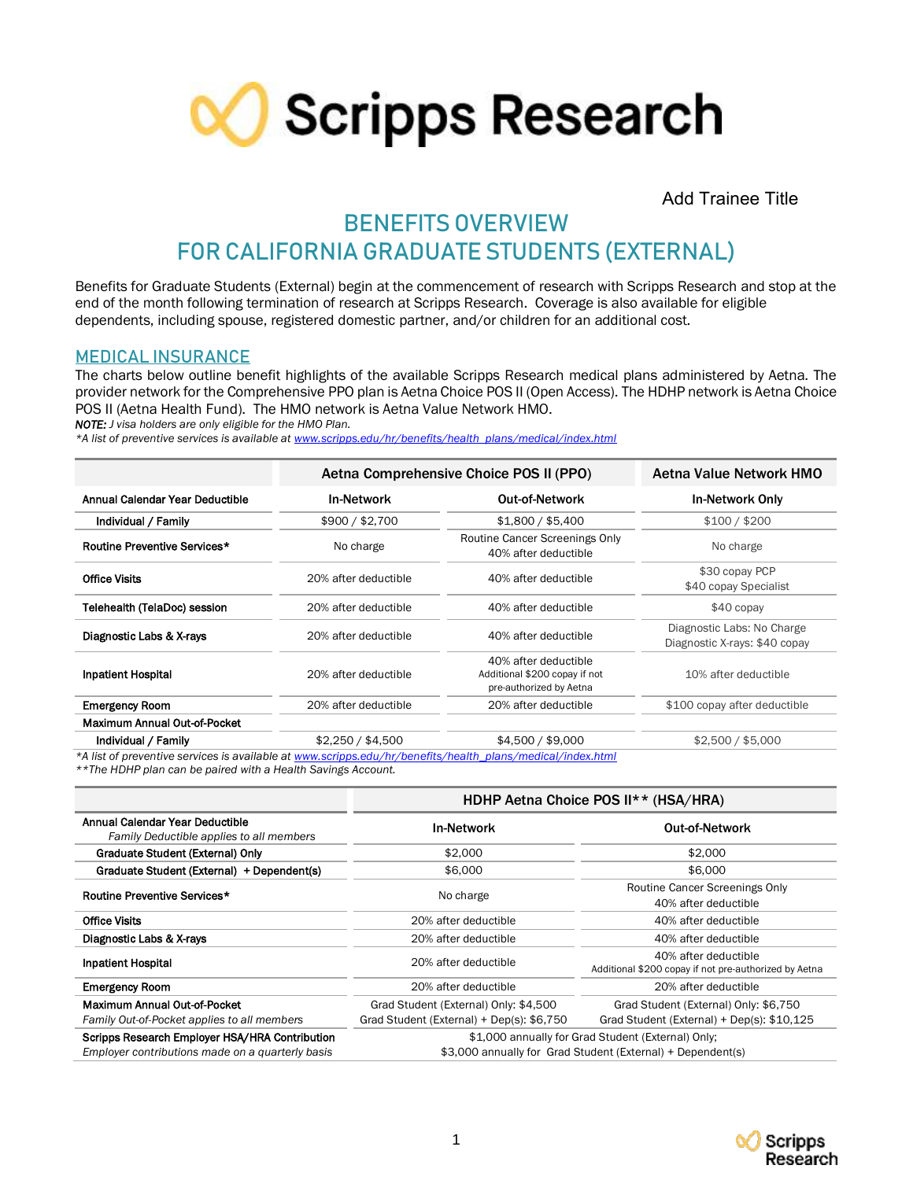

Add Trainee Title

# **BENEFITS OVERVIEW**

# **FOR CALIFORNIA GRADUATE STUDENTS (EXTERNAL)**

Benefits for Graduate Students (External) begin at the commencement of research with Scripps Research and stop at the end of the month following termination of research at Scripps Research. Coverage is also available for eligible dependents, including spouse, registered domestic partner, and/or children for an additional cost.

### **MEDICAL INSURANCE**

The charts below outline benefit highlights of the available Scripps Research medical plans administered by Aetna. The provider network for the Comprehensive PPO plan is Aetna Choice POS II (Open Access). The HDHP network is Aetna Choice POS II (Aetna Health Fund). The HMO network is Aetna Value Network HMO.

*NOTE: J visa holders are only eligible for the HMO Plan.* 

*\*A list of preventive services is available a[t www.scripps.edu/hr/benefits/health\\_plans/medical/index.html](http://www.scripps.edu/hr/benefits/health_plans/medical/index.html)*

|                                                                                                            | Aetna Comprehensive Choice POS II (PPO) | Aetna Value Network HMO                                                          |                                                             |  |  |  |
|------------------------------------------------------------------------------------------------------------|-----------------------------------------|----------------------------------------------------------------------------------|-------------------------------------------------------------|--|--|--|
| Annual Calendar Year Deductible                                                                            | <b>In-Network</b>                       | <b>Out-of-Network</b>                                                            | <b>In-Network Only</b>                                      |  |  |  |
| Individual / Family                                                                                        | \$900 / \$2,700                         | \$1,800 / \$5,400                                                                | \$100 / \$200                                               |  |  |  |
| Routine Preventive Services*                                                                               | No charge                               | Routine Cancer Screenings Only<br>40% after deductible                           | No charge                                                   |  |  |  |
| <b>Office Visits</b>                                                                                       | 20% after deductible                    | 40% after deductible                                                             | \$30 copay PCP<br>\$40 copay Specialist                     |  |  |  |
| Telehealth (TelaDoc) session                                                                               | 20% after deductible                    | 40% after deductible                                                             | $$40$ copay                                                 |  |  |  |
| Diagnostic Labs & X-rays                                                                                   | 20% after deductible                    | 40% after deductible                                                             | Diagnostic Labs: No Charge<br>Diagnostic X-rays: \$40 copay |  |  |  |
| <b>Inpatient Hospital</b>                                                                                  | 20% after deductible                    | 40% after deductible<br>Additional \$200 copay if not<br>pre-authorized by Aetna | 10% after deductible                                        |  |  |  |
| <b>Emergency Room</b>                                                                                      | 20% after deductible                    | 20% after deductible                                                             | \$100 copay after deductible                                |  |  |  |
| Maximum Annual Out-of-Pocket                                                                               |                                         |                                                                                  |                                                             |  |  |  |
| Individual / Family                                                                                        | \$2,250 / \$4,500                       | \$4,500 / \$9,000                                                                | \$2,500 / \$5,000                                           |  |  |  |
| *A list of preventive services is available at www.scripps.edu/hr/benefits/health_plans/medical/index.html |                                         |                                                                                  |                                                             |  |  |  |

*\*\*The HDHP plan can be paired with a Health Savings Account.*

|                                                                                                    | HDHP Aetna Choice POS II** (HSA/HRA)                                                                              |                                                                               |  |
|----------------------------------------------------------------------------------------------------|-------------------------------------------------------------------------------------------------------------------|-------------------------------------------------------------------------------|--|
| Annual Calendar Year Deductible<br>Family Deductible applies to all members                        | <b>In-Network</b>                                                                                                 | <b>Out-of-Network</b>                                                         |  |
| Graduate Student (External) Only                                                                   | \$2,000                                                                                                           | \$2,000                                                                       |  |
| Graduate Student (External) + Dependent(s)                                                         | \$6,000                                                                                                           | \$6,000                                                                       |  |
| Routine Preventive Services*                                                                       | No charge                                                                                                         | Routine Cancer Screenings Only<br>40% after deductible                        |  |
| <b>Office Visits</b>                                                                               | 20% after deductible                                                                                              | 40% after deductible                                                          |  |
| Diagnostic Labs & X-rays                                                                           | 20% after deductible                                                                                              | 40% after deductible                                                          |  |
| <b>Inpatient Hospital</b>                                                                          | 20% after deductible                                                                                              | 40% after deductible<br>Additional \$200 copay if not pre-authorized by Aetna |  |
| <b>Emergency Room</b>                                                                              | 20% after deductible                                                                                              | 20% after deductible                                                          |  |
| Maximum Annual Out-of-Pocket                                                                       | Grad Student (External) Only: \$4,500                                                                             | Grad Student (External) Only: \$6,750                                         |  |
| Family Out-of-Pocket applies to all members                                                        | Grad Student (External) + Dep(s): \$6,750                                                                         | Grad Student (External) + Dep(s): \$10,125                                    |  |
| Scripps Research Employer HSA/HRA Contribution<br>Employer contributions made on a quarterly basis | \$1,000 annually for Grad Student (External) Only;<br>\$3,000 annually for Grad Student (External) + Dependent(s) |                                                                               |  |

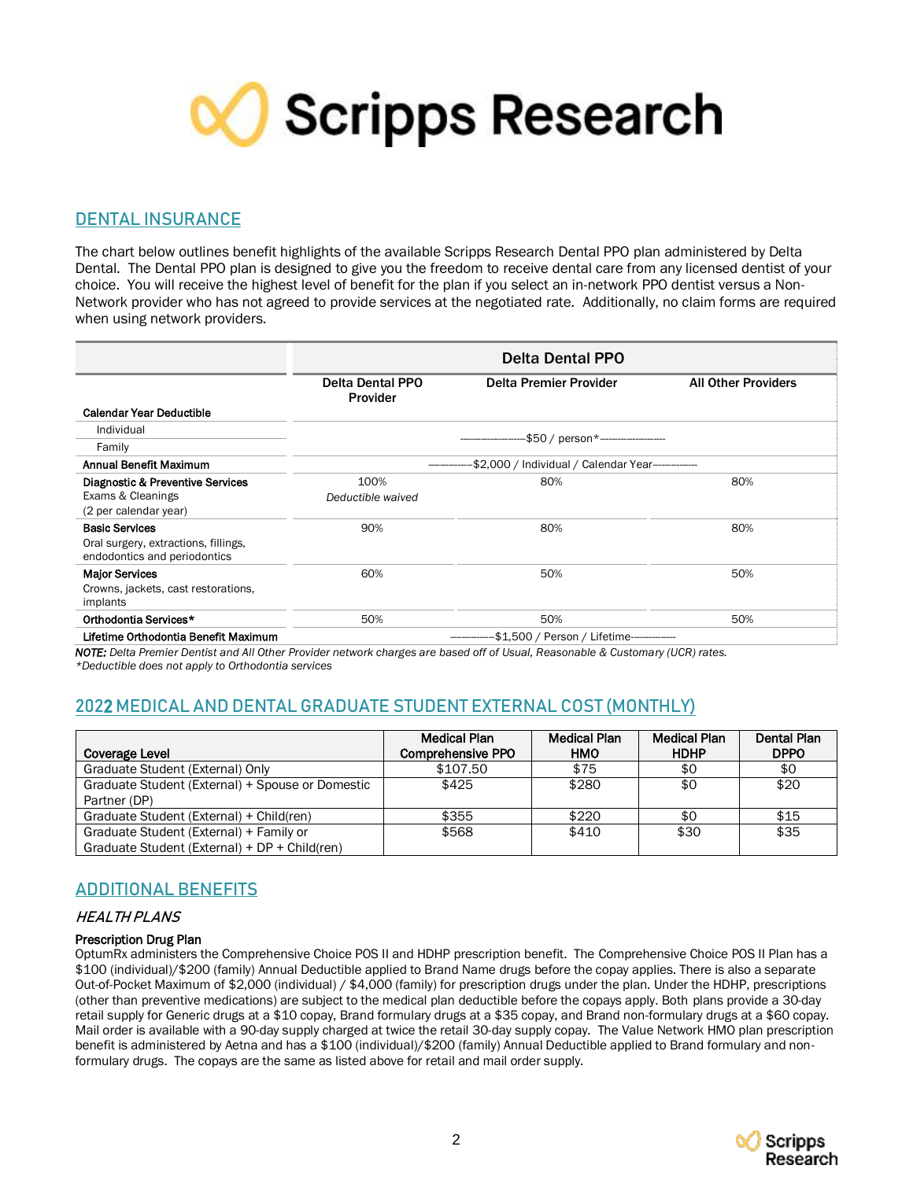**CO** Scripps Research

## **DENTAL INSURANCE**

The chart below outlines benefit highlights of the available Scripps Research Dental PPO plan administered by Delta Dental. The Dental PPO plan is designed to give you the freedom to receive dental care from any licensed dentist of your choice. You will receive the highest level of benefit for the plan if you select an in-network PPO dentist versus a Non-Network provider who has not agreed to provide services at the negotiated rate. Additionally, no claim forms are required when using network providers.

|                                                                                               | <b>Delta Dental PPO</b>                            |                        |                            |  |
|-----------------------------------------------------------------------------------------------|----------------------------------------------------|------------------------|----------------------------|--|
|                                                                                               | <b>Delta Dental PPO</b><br>Provider                | Delta Premier Provider | <b>All Other Providers</b> |  |
| <b>Calendar Year Deductible</b>                                                               |                                                    |                        |                            |  |
| Individual                                                                                    |                                                    |                        |                            |  |
| Family                                                                                        | -\$50 / person*---------------------               |                        |                            |  |
| Annual Benefit Maximum                                                                        | -\$2,000 / Individual / Calendar Year------------- |                        |                            |  |
| Diagnostic & Preventive Services<br>Exams & Cleanings<br>(2 per calendar year)                | 100%<br>Deductible waived                          | 80%                    | 80%                        |  |
| <b>Basic Services</b><br>Oral surgery, extractions, fillings,<br>endodontics and periodontics | 90%                                                | 80%                    | 80%                        |  |
| <b>Major Services</b><br>Crowns, jackets, cast restorations,<br>implants                      | 60%                                                | 50%                    | 50%                        |  |
| Orthodontia Services*                                                                         | 50%                                                | 50%                    | 50%                        |  |
| Lifetime Orthodontia Benefit Maximum                                                          | -\$1,500 / Person / Lifetime-------------          |                        |                            |  |

*NOTE: Delta Premier Dentist and All Other Provider network charges are based off of Usual, Reasonable & Customary (UCR) rates. \*Deductible does not apply to Orthodontia services*

# **202**2 **MEDICAL AND DENTAL GRADUATE STUDENT EXTERNAL COST (MONTHLY)**

| Coverage Level                                   | Medical Plan<br><b>Comprehensive PPO</b> | <b>Medical Plan</b><br>HMO | <b>Medical Plan</b><br><b>HDHP</b> | Dental Plan<br><b>DPPO</b> |
|--------------------------------------------------|------------------------------------------|----------------------------|------------------------------------|----------------------------|
| Graduate Student (External) Only                 | \$107.50                                 | \$75                       | \$0                                | \$0                        |
| Graduate Student (External) + Spouse or Domestic | \$425                                    | \$280                      | \$0                                | \$20                       |
| Partner (DP)                                     |                                          |                            |                                    |                            |
| Graduate Student (External) + Child(ren)         | \$355                                    | \$220                      | \$0                                | \$15                       |
| Graduate Student (External) + Family or          | \$568                                    | \$410                      | \$30                               | \$35                       |
| Graduate Student (External) + DP + Child(ren)    |                                          |                            |                                    |                            |

# **ADDITIONAL BENEFITS**

### HEALTH PLANS

#### Prescription Drug Plan

OptumRx administers the Comprehensive Choice POS II and HDHP prescription benefit. The Comprehensive Choice POS II Plan has a \$100 (individual)/\$200 (family) Annual Deductible applied to Brand Name drugs before the copay applies. There is also a separate Out-of-Pocket Maximum of \$2,000 (individual) / \$4,000 (family) for prescription drugs under the plan. Under the HDHP, prescriptions (other than preventive medications) are subject to the medical plan deductible before the copays apply. Both plans provide a 30-day retail supply for Generic drugs at a \$10 copay, Brand formulary drugs at a \$35 copay, and Brand non-formulary drugs at a \$60 copay. Mail order is available with a 90-day supply charged at twice the retail 30-day supply copay. The Value Network HMO plan prescription benefit is administered by Aetna and has a \$100 (individual)/\$200 (family) Annual Deductible applied to Brand formulary and nonformulary drugs. The copays are the same as listed above for retail and mail order supply.

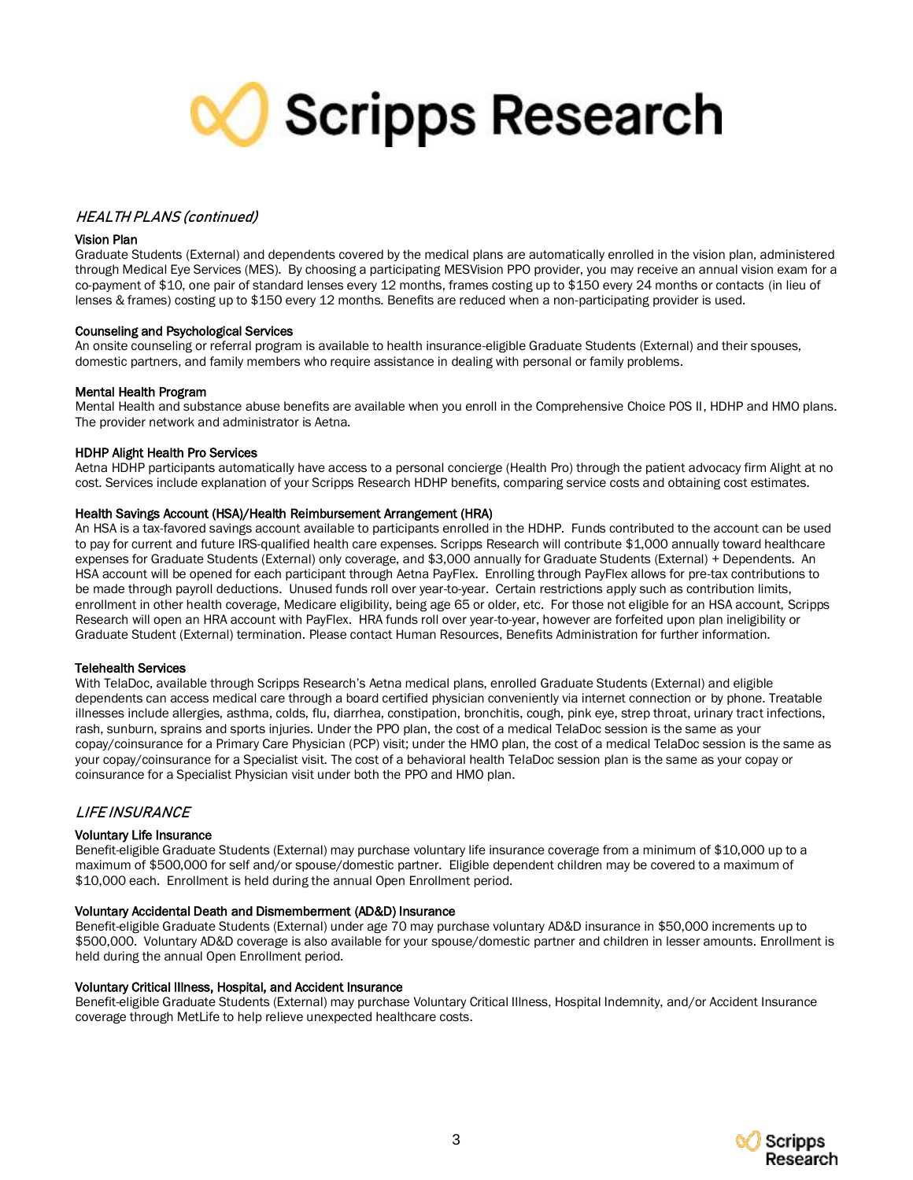

#### HEALTH PLANS (continued)

#### Vision Plan

Graduate Students (External) and dependents covered by the medical plans are automatically enrolled in the vision plan, administered through Medical Eye Services (MES). By choosing a participating MESVision PPO provider, you may receive an annual vision exam for a co-payment of \$10, one pair of standard lenses every 12 months, frames costing up to \$150 every 24 months or contacts (in lieu of lenses & frames) costing up to \$150 every 12 months. Benefits are reduced when a non-participating provider is used.

#### Counseling and Psychological Services

An onsite counseling or referral program is available to health insurance-eligible Graduate Students (External) and their spouses, domestic partners, and family members who require assistance in dealing with personal or family problems.

#### Mental Health Program

Mental Health and substance abuse benefits are available when you enroll in the Comprehensive Choice POS II, HDHP and HMO plans. The provider network and administrator is Aetna.

#### HDHP Alight Health Pro Services

Aetna HDHP participants automatically have access to a personal concierge (Health Pro) through the patient advocacy firm Alight at no cost. Services include explanation of your Scripps Research HDHP benefits, comparing service costs and obtaining cost estimates.

#### Health Savings Account (HSA)/Health Reimbursement Arrangement (HRA)

An HSA is a tax-favored savings account available to participants enrolled in the HDHP. Funds contributed to the account can be used to pay for current and future IRS-qualified health care expenses. Scripps Research will contribute \$1,000 annually toward healthcare expenses for Graduate Students (External) only coverage, and \$3,000 annually for Graduate Students (External) + Dependents. An HSA account will be opened for each participant through Aetna PayFlex. Enrolling through PayFlex allows for pre-tax contributions to be made through payroll deductions. Unused funds roll over year-to-year. Certain restrictions apply such as contribution limits, enrollment in other health coverage, Medicare eligibility, being age 65 or older, etc. For those not eligible for an HSA account, Scripps Research will open an HRA account with PayFlex. HRA funds roll over year-to-year, however are forfeited upon plan ineligibility or Graduate Student (External) termination. Please contact Human Resources, Benefits Administration for further information.

#### Telehealth Services

With TelaDoc, available through Scripps Research's Aetna medical plans, enrolled Graduate Students (External) and eligible dependents can access medical care through a board certified physician conveniently via internet connection or by phone. Treatable illnesses include allergies, asthma, colds, flu, diarrhea, constipation, bronchitis, cough, pink eye, strep throat, urinary tract infections, rash, sunburn, sprains and sports injuries. Under the PPO plan, the cost of a medical TelaDoc session is the same as your copay/coinsurance for a Primary Care Physician (PCP) visit; under the HMO plan, the cost of a medical TelaDoc session is the same as your copay/coinsurance for a Specialist visit. The cost of a behavioral health TelaDoc session plan is the same as your copay or coinsurance for a Specialist Physician visit under both the PPO and HMO plan.

#### LIFE INSURANCE

#### Voluntary Life Insurance

Benefit-eligible Graduate Students (External) may purchase voluntary life insurance coverage from a minimum of \$10,000 up to a maximum of \$500,000 for self and/or spouse/domestic partner. Eligible dependent children may be covered to a maximum of \$10,000 each. Enrollment is held during the annual Open Enrollment period.

#### Voluntary Accidental Death and Dismemberment (AD&D) Insurance

Benefit-eligible Graduate Students (External) under age 70 may purchase voluntary AD&D insurance in \$50,000 increments up to \$500,000. Voluntary AD&D coverage is also available for your spouse/domestic partner and children in lesser amounts. Enrollment is held during the annual Open Enrollment period.

#### Voluntary Critical Illness, Hospital, and Accident Insurance

Benefit-eligible Graduate Students (External) may purchase Voluntary Critical Illness, Hospital Indemnity, and/or Accident Insurance coverage through MetLife to help relieve unexpected healthcare costs.